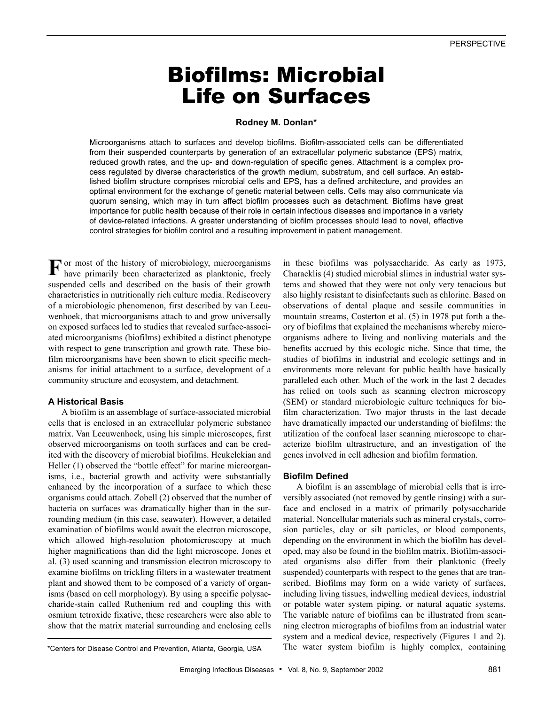# Biofilms: Microbial Life on Surfaces

# **Rodney M. Donlan\***

Microorganisms attach to surfaces and develop biofilms. Biofilm-associated cells can be differentiated from their suspended counterparts by generation of an extracellular polymeric substance (EPS) matrix, reduced growth rates, and the up- and down-regulation of specific genes. Attachment is a complex process regulated by diverse characteristics of the growth medium, substratum, and cell surface. An established biofilm structure comprises microbial cells and EPS, has a defined architecture, and provides an optimal environment for the exchange of genetic material between cells. Cells may also communicate via quorum sensing, which may in turn affect biofilm processes such as detachment. Biofilms have great importance for public health because of their role in certain infectious diseases and importance in a variety of device-related infections. A greater understanding of biofilm processes should lead to novel, effective control strategies for biofilm control and a resulting improvement in patient management.

 $\mathbf{F}$  or most of the history of microbiology, microorganisms have primarily been characterized as planktonic, freely have primarily been characterized as planktonic, freely suspended cells and described on the basis of their growth characteristics in nutritionally rich culture media. Rediscovery of a microbiologic phenomenon, first described by van Leeuwenhoek, that microorganisms attach to and grow universally on exposed surfaces led to studies that revealed surface-associated microorganisms (biofilms) exhibited a distinct phenotype with respect to gene transcription and growth rate. These biofilm microorganisms have been shown to elicit specific mechanisms for initial attachment to a surface, development of a community structure and ecosystem, and detachment.

# **A Historical Basis**

A biofilm is an assemblage of surface-associated microbial cells that is enclosed in an extracellular polymeric substance matrix. Van Leeuwenhoek, using his simple microscopes, first observed microorganisms on tooth surfaces and can be credited with the discovery of microbial biofilms. Heukelekian and Heller (1) observed the "bottle effect" for marine microorganisms, i.e., bacterial growth and activity were substantially enhanced by the incorporation of a surface to which these organisms could attach. Zobell (2) observed that the number of bacteria on surfaces was dramatically higher than in the surrounding medium (in this case, seawater). However, a detailed examination of biofilms would await the electron microscope, which allowed high-resolution photomicroscopy at much higher magnifications than did the light microscope. Jones et al. (3) used scanning and transmission electron microscopy to examine biofilms on trickling filters in a wastewater treatment plant and showed them to be composed of a variety of organisms (based on cell morphology). By using a specific polysaccharide-stain called Ruthenium red and coupling this with osmium tetroxide fixative, these researchers were also able to show that the matrix material surrounding and enclosing cells

in these biofilms was polysaccharide. As early as 1973, Characklis (4) studied microbial slimes in industrial water systems and showed that they were not only very tenacious but also highly resistant to disinfectants such as chlorine. Based on observations of dental plaque and sessile communities in mountain streams, Costerton et al. (5) in 1978 put forth a theory of biofilms that explained the mechanisms whereby microorganisms adhere to living and nonliving materials and the benefits accrued by this ecologic niche. Since that time, the studies of biofilms in industrial and ecologic settings and in environments more relevant for public health have basically paralleled each other. Much of the work in the last 2 decades has relied on tools such as scanning electron microscopy (SEM) or standard microbiologic culture techniques for biofilm characterization. Two major thrusts in the last decade have dramatically impacted our understanding of biofilms: the utilization of the confocal laser scanning microscope to characterize biofilm ultrastructure, and an investigation of the genes involved in cell adhesion and biofilm formation.

## **Biofilm Defined**

A biofilm is an assemblage of microbial cells that is irreversibly associated (not removed by gentle rinsing) with a surface and enclosed in a matrix of primarily polysaccharide material. Noncellular materials such as mineral crystals, corrosion particles, clay or silt particles, or blood components, depending on the environment in which the biofilm has developed, may also be found in the biofilm matrix. Biofilm-associated organisms also differ from their planktonic (freely suspended) counterparts with respect to the genes that are transcribed. Biofilms may form on a wide variety of surfaces, including living tissues, indwelling medical devices, industrial or potable water system piping, or natural aquatic systems. The variable nature of biofilms can be illustrated from scanning electron micrographs of biofilms from an industrial water system and a medical device, respectively (Figures 1 and 2). \*Centers for Disease Control and Prevention, Atlanta, Georgia, USA The water system biofilm is highly complex, containing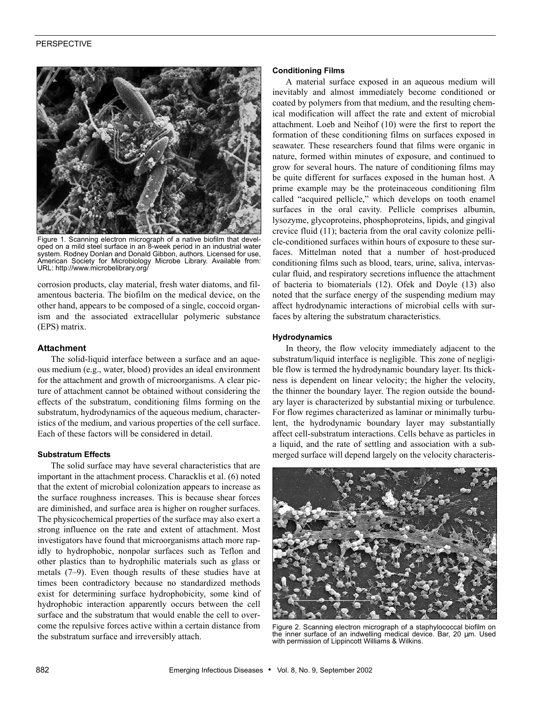

Figure 1. Scanning electron micrograph of a native biofilm that developed on a mild steel surface in an 8-week period in an industrial water system. Rodney Donlan and Donald Gibbon, authors. Licensed for use, American Society for Microbiology Microbe Library. Available from: URL: http://www.microbelibrary.org/

corrosion products, clay material, fresh water diatoms, and filamentous bacteria. The biofilm on the medical device, on the other hand, appears to be composed of a single, coccoid organism and the associated extracellular polymeric substance (EPS) matrix.

## **Attachment**

The solid-liquid interface between a surface and an aqueous medium (e.g., water, blood) provides an ideal environment for the attachment and growth of microorganisms. A clear picture of attachment cannot be obtained without considering the effects of the substratum, conditioning films forming on the substratum, hydrodynamics of the aqueous medium, characteristics of the medium, and various properties of the cell surface. Each of these factors will be considered in detail.

#### **Substratum Effects**

The solid surface may have several characteristics that are important in the attachment process. Characklis et al. (6) noted that the extent of microbial colonization appears to increase as the surface roughness increases. This is because shear forces are diminished, and surface area is higher on rougher surfaces. The physicochemical properties of the surface may also exert a strong influence on the rate and extent of attachment. Most investigators have found that microorganisms attach more rapidly to hydrophobic, nonpolar surfaces such as Teflon and other plastics than to hydrophilic materials such as glass or metals (7–9). Even though results of these studies have at times been contradictory because no standardized methods exist for determining surface hydrophobicity, some kind of hydrophobic interaction apparently occurs between the cell surface and the substratum that would enable the cell to overcome the repulsive forces active within a certain distance from the substratum surface and irreversibly attach.

## **Conditioning Films**

A material surface exposed in an aqueous medium will inevitably and almost immediately become conditioned or coated by polymers from that medium, and the resulting chemical modification will affect the rate and extent of microbial attachment. Loeb and Neihof (10) were the first to report the formation of these conditioning films on surfaces exposed in seawater. These researchers found that films were organic in nature, formed within minutes of exposure, and continued to grow for several hours. The nature of conditioning films may be quite different for surfaces exposed in the human host. A prime example may be the proteinaceous conditioning film called "acquired pellicle," which develops on tooth enamel surfaces in the oral cavity. Pellicle comprises albumin, lysozyme, glycoproteins, phosphoproteins, lipids, and gingival crevice fluid (11); bacteria from the oral cavity colonize pellicle-conditioned surfaces within hours of exposure to these surfaces. Mittelman noted that a number of host-produced conditioning films such as blood, tears, urine, saliva, intervascular fluid, and respiratory secretions influence the attachment of bacteria to biomaterials (12). Ofek and Doyle (13) also noted that the surface energy of the suspending medium may affect hydrodynamic interactions of microbial cells with surfaces by altering the substratum characteristics.

#### **Hydrodynamics**

In theory, the flow velocity immediately adjacent to the substratum/liquid interface is negligible. This zone of negligible flow is termed the hydrodynamic boundary layer. Its thickness is dependent on linear velocity; the higher the velocity, the thinner the boundary layer. The region outside the boundary layer is characterized by substantial mixing or turbulence. For flow regimes characterized as laminar or minimally turbulent, the hydrodynamic boundary layer may substantially affect cell-substratum interactions. Cells behave as particles in a liquid, and the rate of settling and association with a submerged surface will depend largely on the velocity characteris-



Figure 2. Scanning electron micrograph of a staphylococcal biofilm on the inner surface of an indwelling medical device. Bar, 20 µm. Used with permission of Lippincott Williams & Wilkins.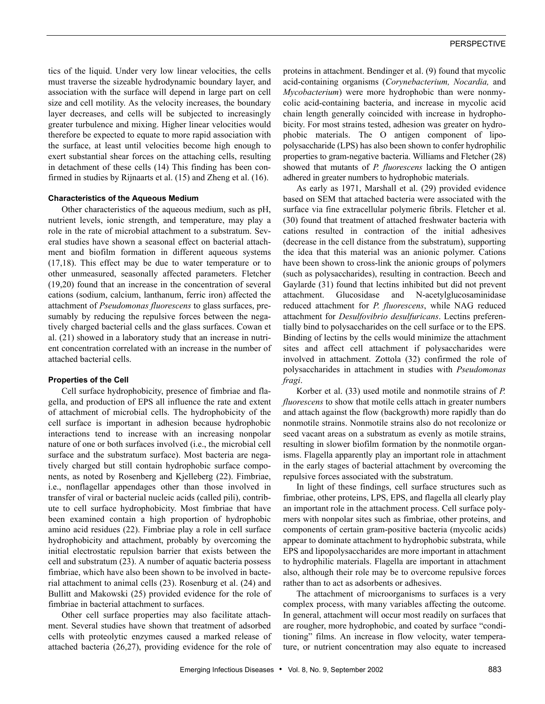tics of the liquid. Under very low linear velocities, the cells must traverse the sizeable hydrodynamic boundary layer, and association with the surface will depend in large part on cell size and cell motility. As the velocity increases, the boundary layer decreases, and cells will be subjected to increasingly greater turbulence and mixing. Higher linear velocities would therefore be expected to equate to more rapid association with the surface, at least until velocities become high enough to exert substantial shear forces on the attaching cells, resulting in detachment of these cells (14) This finding has been confirmed in studies by Rijnaarts et al. (15) and Zheng et al. (16).

#### **Characteristics of the Aqueous Medium**

Other characteristics of the aqueous medium, such as pH, nutrient levels, ionic strength, and temperature, may play a role in the rate of microbial attachment to a substratum. Several studies have shown a seasonal effect on bacterial attachment and biofilm formation in different aqueous systems (17,18). This effect may be due to water temperature or to other unmeasured, seasonally affected parameters. Fletcher (19,20) found that an increase in the concentration of several cations (sodium, calcium, lanthanum, ferric iron) affected the attachment of *Pseudomonas fluorescens* to glass surfaces, presumably by reducing the repulsive forces between the negatively charged bacterial cells and the glass surfaces. Cowan et al. (21) showed in a laboratory study that an increase in nutrient concentration correlated with an increase in the number of attached bacterial cells.

#### **Properties of the Cell**

Cell surface hydrophobicity, presence of fimbriae and flagella, and production of EPS all influence the rate and extent of attachment of microbial cells. The hydrophobicity of the cell surface is important in adhesion because hydrophobic interactions tend to increase with an increasing nonpolar nature of one or both surfaces involved (i.e., the microbial cell surface and the substratum surface). Most bacteria are negatively charged but still contain hydrophobic surface components, as noted by Rosenberg and Kjelleberg (22). Fimbriae, i.e., nonflagellar appendages other than those involved in transfer of viral or bacterial nucleic acids (called pili), contribute to cell surface hydrophobicity. Most fimbriae that have been examined contain a high proportion of hydrophobic amino acid residues (22). Fimbriae play a role in cell surface hydrophobicity and attachment, probably by overcoming the initial electrostatic repulsion barrier that exists between the cell and substratum (23). A number of aquatic bacteria possess fimbriae, which have also been shown to be involved in bacterial attachment to animal cells (23). Rosenburg et al. (24) and Bullitt and Makowski (25) provided evidence for the role of fimbriae in bacterial attachment to surfaces.

Other cell surface properties may also facilitate attachment. Several studies have shown that treatment of adsorbed cells with proteolytic enzymes caused a marked release of attached bacteria (26,27), providing evidence for the role of

proteins in attachment. Bendinger et al. (9) found that mycolic acid-containing organisms (*Corynebacterium, Nocardia,* and *Mycobacterium*) were more hydrophobic than were nonmycolic acid-containing bacteria, and increase in mycolic acid chain length generally coincided with increase in hydrophobicity. For most strains tested, adhesion was greater on hydrophobic materials. The O antigen component of lipopolysaccharide (LPS) has also been shown to confer hydrophilic properties to gram-negative bacteria. Williams and Fletcher (28) showed that mutants of *P. fluorescens* lacking the O antigen adhered in greater numbers to hydrophobic materials.

As early as 1971, Marshall et al. (29) provided evidence based on SEM that attached bacteria were associated with the surface via fine extracellular polymeric fibrils. Fletcher et al. (30) found that treatment of attached freshwater bacteria with cations resulted in contraction of the initial adhesives (decrease in the cell distance from the substratum), supporting the idea that this material was an anionic polymer. Cations have been shown to cross-link the anionic groups of polymers (such as polysaccharides), resulting in contraction. Beech and Gaylarde (31) found that lectins inhibited but did not prevent attachment. Glucosidase and N-acetylglucosaminidase reduced attachment for *P. fluorescens*, while NAG reduced attachment for *Desulfovibrio desulfuricans*. Lectins preferentially bind to polysaccharides on the cell surface or to the EPS. Binding of lectins by the cells would minimize the attachment sites and affect cell attachment if polysaccharides were involved in attachment. Zottola (32) confirmed the role of polysaccharides in attachment in studies with *Pseudomonas fragi*.

Korber et al. (33) used motile and nonmotile strains of *P. fluorescens* to show that motile cells attach in greater numbers and attach against the flow (backgrowth) more rapidly than do nonmotile strains. Nonmotile strains also do not recolonize or seed vacant areas on a substratum as evenly as motile strains, resulting in slower biofilm formation by the nonmotile organisms. Flagella apparently play an important role in attachment in the early stages of bacterial attachment by overcoming the repulsive forces associated with the substratum.

In light of these findings, cell surface structures such as fimbriae, other proteins, LPS, EPS, and flagella all clearly play an important role in the attachment process. Cell surface polymers with nonpolar sites such as fimbriae, other proteins, and components of certain gram-positive bacteria (mycolic acids) appear to dominate attachment to hydrophobic substrata, while EPS and lipopolysaccharides are more important in attachment to hydrophilic materials. Flagella are important in attachment also, although their role may be to overcome repulsive forces rather than to act as adsorbents or adhesives.

The attachment of microorganisms to surfaces is a very complex process, with many variables affecting the outcome. In general, attachment will occur most readily on surfaces that are rougher, more hydrophobic, and coated by surface "conditioning" films. An increase in flow velocity, water temperature, or nutrient concentration may also equate to increased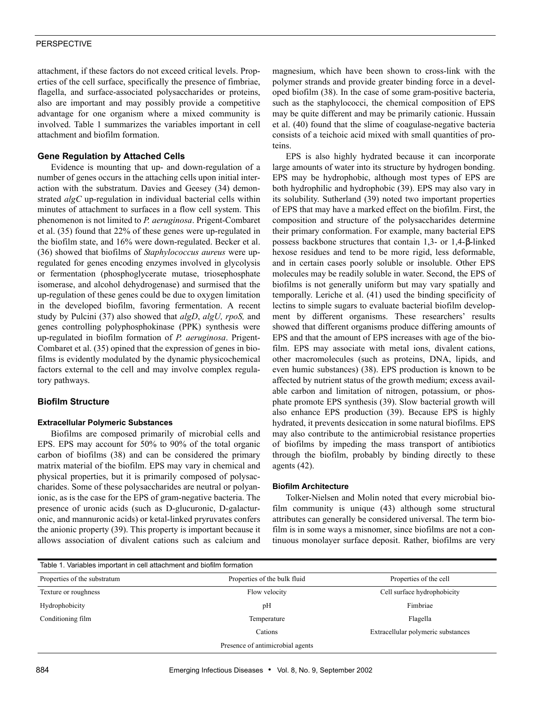attachment, if these factors do not exceed critical levels. Properties of the cell surface, specifically the presence of fimbriae, flagella, and surface-associated polysaccharides or proteins, also are important and may possibly provide a competitive advantage for one organism where a mixed community is involved. Table 1 summarizes the variables important in cell attachment and biofilm formation.

# **Gene Regulation by Attached Cells**

Evidence is mounting that up- and down-regulation of a number of genes occurs in the attaching cells upon initial interaction with the substratum. Davies and Geesey (34) demonstrated *algC* up-regulation in individual bacterial cells within minutes of attachment to surfaces in a flow cell system. This phenomenon is not limited to *P. aeruginosa*. Prigent-Combaret et al. (35) found that 22% of these genes were up-regulated in the biofilm state, and 16% were down-regulated. Becker et al. (36) showed that biofilms of *Staphylococcus aureus* were upregulated for genes encoding enzymes involved in glycolysis or fermentation (phosphoglycerate mutase, triosephosphate isomerase, and alcohol dehydrogenase) and surmised that the up-regulation of these genes could be due to oxygen limitation in the developed biofilm, favoring fermentation. A recent study by Pulcini (37) also showed that *algD*, *algU, rpoS,* and genes controlling polyphosphokinase (PPK) synthesis were up-regulated in biofilm formation of *P. aeruginosa*. Prigent-Combaret et al. (35) opined that the expression of genes in biofilms is evidently modulated by the dynamic physicochemical factors external to the cell and may involve complex regulatory pathways.

# **Biofilm Structure**

## **Extracellular Polymeric Substances**

Biofilms are composed primarily of microbial cells and EPS. EPS may account for 50% to 90% of the total organic carbon of biofilms (38) and can be considered the primary matrix material of the biofilm. EPS may vary in chemical and physical properties, but it is primarily composed of polysaccharides. Some of these polysaccharides are neutral or polyanionic, as is the case for the EPS of gram-negative bacteria. The presence of uronic acids (such as D-glucuronic, D-galacturonic, and mannuronic acids) or ketal-linked pryruvates confers the anionic property (39). This property is important because it allows association of divalent cations such as calcium and

magnesium, which have been shown to cross-link with the polymer strands and provide greater binding force in a developed biofilm (38). In the case of some gram-positive bacteria, such as the staphylococci, the chemical composition of EPS may be quite different and may be primarily cationic. Hussain et al. (40) found that the slime of coagulase-negative bacteria consists of a teichoic acid mixed with small quantities of proteins.

EPS is also highly hydrated because it can incorporate large amounts of water into its structure by hydrogen bonding. EPS may be hydrophobic, although most types of EPS are both hydrophilic and hydrophobic (39). EPS may also vary in its solubility. Sutherland (39) noted two important properties of EPS that may have a marked effect on the biofilm. First, the composition and structure of the polysaccharides determine their primary conformation. For example, many bacterial EPS possess backbone structures that contain 1,3- or 1,4-β-linked hexose residues and tend to be more rigid, less deformable, and in certain cases poorly soluble or insoluble. Other EPS molecules may be readily soluble in water. Second, the EPS of biofilms is not generally uniform but may vary spatially and temporally. Leriche et al. (41) used the binding specificity of lectins to simple sugars to evaluate bacterial biofilm development by different organisms. These researchers' results showed that different organisms produce differing amounts of EPS and that the amount of EPS increases with age of the biofilm. EPS may associate with metal ions, divalent cations, other macromolecules (such as proteins, DNA, lipids, and even humic substances) (38). EPS production is known to be affected by nutrient status of the growth medium; excess available carbon and limitation of nitrogen, potassium, or phosphate promote EPS synthesis (39). Slow bacterial growth will also enhance EPS production (39). Because EPS is highly hydrated, it prevents desiccation in some natural biofilms. EPS may also contribute to the antimicrobial resistance properties of biofilms by impeding the mass transport of antibiotics through the biofilm, probably by binding directly to these agents (42).

#### **Biofilm Architecture**

Tolker-Nielsen and Molin noted that every microbial biofilm community is unique (43) although some structural attributes can generally be considered universal. The term biofilm is in some ways a misnomer, since biofilms are not a continuous monolayer surface deposit. Rather, biofilms are very

| Table 1. Variables important in cell attachment and biofilm formation |                                  |                                    |
|-----------------------------------------------------------------------|----------------------------------|------------------------------------|
| Properties of the substratum                                          | Properties of the bulk fluid     | Properties of the cell             |
| Texture or roughness                                                  | Flow velocity                    | Cell surface hydrophobicity        |
| Hydrophobicity                                                        | pH                               | Fimbriae                           |
| Conditioning film                                                     | Temperature                      | Flagella                           |
|                                                                       | Cations                          | Extracellular polymeric substances |
|                                                                       | Presence of antimicrobial agents |                                    |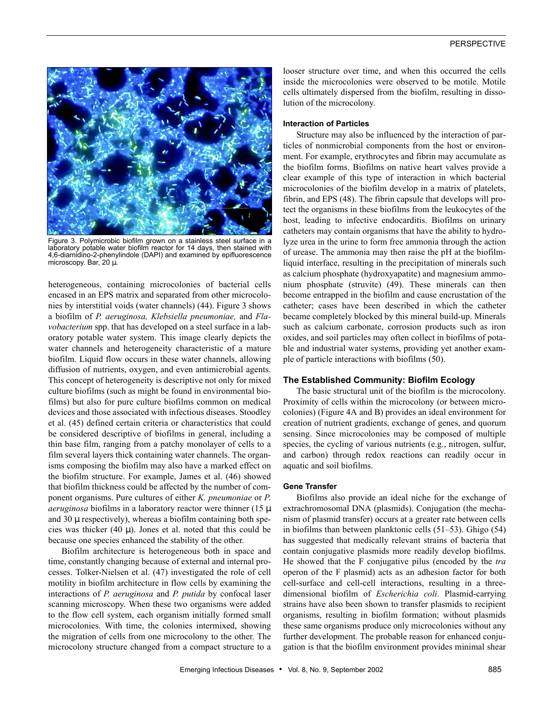

Figure 3. Polymicrobic biofilm grown on a stainless steel surface in a laboratory potable water biofilm reactor for 14 days, then stained with 4,6-diamidino-2-phenylindole (DAPI) and examined by epifluorescence microscopy. Bar, 20 µ.

heterogeneous, containing microcolonies of bacterial cells encased in an EPS matrix and separated from other microcolonies by interstitial voids (water channels) (44). Figure 3 shows a biofilm of *P. aeruginosa, Klebsiella pneumoniae,* and *Flavobacterium* spp. that has developed on a steel surface in a laboratory potable water system. This image clearly depicts the water channels and heterogeneity characteristic of a mature biofilm. Liquid flow occurs in these water channels, allowing diffusion of nutrients, oxygen, and even antimicrobial agents. This concept of heterogeneity is descriptive not only for mixed culture biofilms (such as might be found in environmental biofilms) but also for pure culture biofilms common on medical devices and those associated with infectious diseases. Stoodley et al. (45) defined certain criteria or characteristics that could be considered descriptive of biofilms in general, including a thin base film, ranging from a patchy monolayer of cells to a film several layers thick containing water channels. The organisms composing the biofilm may also have a marked effect on the biofilm structure. For example, James et al. (46) showed that biofilm thickness could be affected by the number of component organisms. Pure cultures of either *K. pneumoniae* or *P*. *aeruginosa* biofilms in a laboratory reactor were thinner (15 µ and 30  $\mu$  respectively), whereas a biofilm containing both species was thicker  $(40 \mu)$ . Jones et al. noted that this could be because one species enhanced the stability of the other.

Biofilm architecture is heterogeneous both in space and time, constantly changing because of external and internal processes. Tolker-Nielsen et al. (47) investigated the role of cell motility in biofilm architecture in flow cells by examining the interactions of *P. aeruginosa* and *P. putida* by confocal laser scanning microscopy. When these two organisms were added to the flow cell system, each organism initially formed small microcolonies. With time, the colonies intermixed, showing the migration of cells from one microcolony to the other. The microcolony structure changed from a compact structure to a

looser structure over time, and when this occurred the cells inside the microcolonies were observed to be motile. Motile cells ultimately dispersed from the biofilm, resulting in dissolution of the microcolony.

## **Interaction of Particles**

Structure may also be influenced by the interaction of particles of nonmicrobial components from the host or environment. For example, erythrocytes and fibrin may accumulate as the biofilm forms. Biofilms on native heart valves provide a clear example of this type of interaction in which bacterial microcolonies of the biofilm develop in a matrix of platelets, fibrin, and EPS (48). The fibrin capsule that develops will protect the organisms in these biofilms from the leukocytes of the host, leading to infective endocarditis. Biofilms on urinary catheters may contain organisms that have the ability to hydrolyze urea in the urine to form free ammonia through the action of urease. The ammonia may then raise the pH at the biofilmliquid interface, resulting in the precipitation of minerals such as calcium phosphate (hydroxyapatite) and magnesium ammonium phosphate (struvite) (49). These minerals can then become entrapped in the biofilm and cause encrustation of the catheter; cases have been described in which the catheter became completely blocked by this mineral build-up. Minerals such as calcium carbonate, corrosion products such as iron oxides, and soil particles may often collect in biofilms of potable and industrial water systems, providing yet another example of particle interactions with biofilms (50).

## **The Established Community: Biofilm Ecology**

The basic structural unit of the biofilm is the microcolony. Proximity of cells within the microcolony (or between microcolonies) (Figure 4A and B) provides an ideal environment for creation of nutrient gradients, exchange of genes, and quorum sensing. Since microcolonies may be composed of multiple species, the cycling of various nutrients (e.g., nitrogen, sulfur, and carbon) through redox reactions can readily occur in aquatic and soil biofilms.

# **Gene Transfer**

Biofilms also provide an ideal niche for the exchange of extrachromosomal DNA (plasmids). Conjugation (the mechanism of plasmid transfer) occurs at a greater rate between cells in biofilms than between planktonic cells (51–53). Ghigo (54) has suggested that medically relevant strains of bacteria that contain conjugative plasmids more readily develop biofilms. He showed that the F conjugative pilus (encoded by the *tra* operon of the F plasmid) acts as an adhesion factor for both cell-surface and cell-cell interactions, resulting in a threedimensional biofilm of *Escherichia coli*. Plasmid-carrying strains have also been shown to transfer plasmids to recipient organisms, resulting in biofilm formation; without plasmids these same organisms produce only microcolonies without any further development. The probable reason for enhanced conjugation is that the biofilm environment provides minimal shear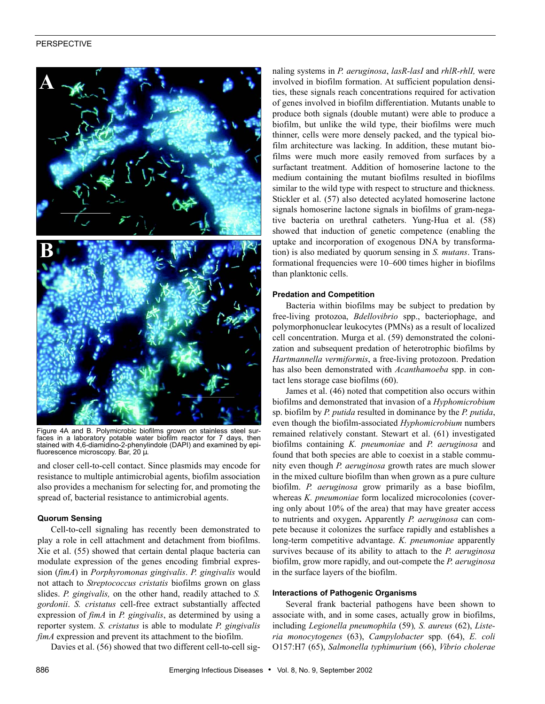

Figure 4A and B. Polymicrobic biofilms grown on stainless steel surfaces in a laboratory potable water biofilm reactor for 7 days, then stained with 4,6-diamidino-2-phenylindole (DAPI) and examined by epifluorescence microscopy. Bar, 20 µ.

and closer cell-to-cell contact. Since plasmids may encode for resistance to multiple antimicrobial agents, biofilm association also provides a mechanism for selecting for, and promoting the spread of, bacterial resistance to antimicrobial agents.

## **Quorum Sensing**

Cell-to-cell signaling has recently been demonstrated to play a role in cell attachment and detachment from biofilms. Xie et al. (55) showed that certain dental plaque bacteria can modulate expression of the genes encoding fimbrial expression (*fimA*) in *Porphyromonas gingivalis*. *P. gingivalis* would not attach to *Streptococcus cristatis* biofilms grown on glass slides. *P. gingivalis,* on the other hand, readily attached to *S. gordonii*. *S. cristatus* cell-free extract substantially affected expression of *fimA* in *P. gingivalis*, as determined by using a reporter system. *S. cristatus* is able to modulate *P. gingivalis fimA* expression and prevent its attachment to the biofilm.

Davies et al. (56) showed that two different cell-to-cell sig-

naling systems in *P. aeruginosa*, *lasR-lasI* and *rhlR-rhlI,* were involved in biofilm formation. At sufficient population densities, these signals reach concentrations required for activation of genes involved in biofilm differentiation. Mutants unable to produce both signals (double mutant) were able to produce a biofilm, but unlike the wild type, their biofilms were much thinner, cells were more densely packed, and the typical biofilm architecture was lacking. In addition, these mutant biofilms were much more easily removed from surfaces by a surfactant treatment. Addition of homoserine lactone to the medium containing the mutant biofilms resulted in biofilms similar to the wild type with respect to structure and thickness. Stickler et al. (57) also detected acylated homoserine lactone signals homoserine lactone signals in biofilms of gram-negative bacteria on urethral catheters. Yung-Hua et al. (58) showed that induction of genetic competence (enabling the uptake and incorporation of exogenous DNA by transformation) is also mediated by quorum sensing in *S. mutans*. Transformational frequencies were 10–600 times higher in biofilms than planktonic cells.

## **Predation and Competition**

Bacteria within biofilms may be subject to predation by free-living protozoa, *Bdellovibrio* spp., bacteriophage, and polymorphonuclear leukocytes (PMNs) as a result of localized cell concentration. Murga et al. (59) demonstrated the colonization and subsequent predation of heterotrophic biofilms by *Hartmannella vermiformis*, a free-living protozoon. Predation has also been demonstrated with *Acanthamoeba* spp. in contact lens storage case biofilms (60).

James et al. (46) noted that competition also occurs within biofilms and demonstrated that invasion of a *Hyphomicrobium* sp. biofilm by *P. putida* resulted in dominance by the *P. putida*, even though the biofilm-associated *Hyphomicrobium* numbers remained relatively constant. Stewart et al. (61) investigated biofilms containing *K. pneumoniae* and *P. aeruginosa* and found that both species are able to coexist in a stable community even though *P. aeruginosa* growth rates are much slower in the mixed culture biofilm than when grown as a pure culture biofilm. *P. aeruginosa* grow primarily as a base biofilm, whereas *K. pneumoniae* form localized microcolonies (covering only about 10% of the area) that may have greater access to nutrients and oxygen**.** Apparently *P. aeruginosa* can compete because it colonizes the surface rapidly and establishes a long-term competitive advantage. *K. pneumoniae* apparently survives because of its ability to attach to the *P. aeruginosa* biofilm, grow more rapidly, and out-compete the *P. aeruginosa* in the surface layers of the biofilm.

#### **Interactions of Pathogenic Organisms**

Several frank bacterial pathogens have been shown to associate with, and in some cases, actually grow in biofilms, including *Legionella pneumophila* (59)*, S. aureus* (62), *Listeria monocytogenes* (63), *Campylobacter* spp*.* (64), *E. coli* O157:H7 (65), *Salmonella typhimurium* (66), *Vibrio cholerae*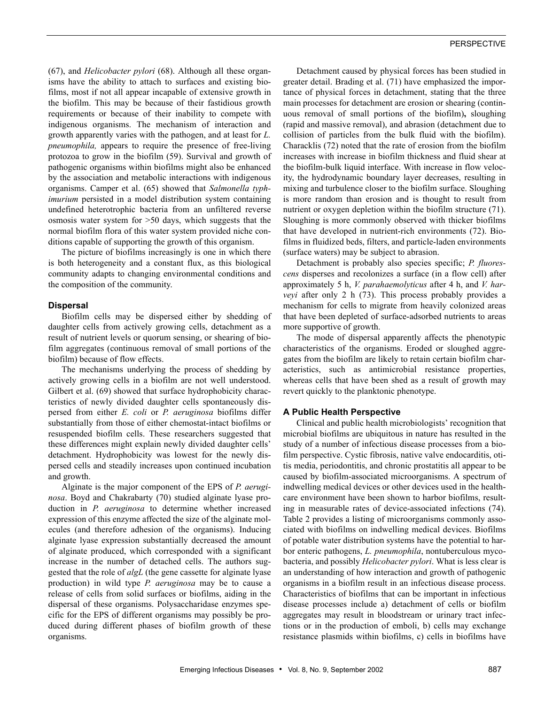(67), and *Helicobacter pylori* (68). Although all these organisms have the ability to attach to surfaces and existing biofilms, most if not all appear incapable of extensive growth in the biofilm. This may be because of their fastidious growth requirements or because of their inability to compete with indigenous organisms. The mechanism of interaction and growth apparently varies with the pathogen, and at least for *L. pneumophila,* appears to require the presence of free-living protozoa to grow in the biofilm (59). Survival and growth of pathogenic organisms within biofilms might also be enhanced by the association and metabolic interactions with indigenous organisms. Camper et al. (65) showed that *Salmonella typhimurium* persisted in a model distribution system containing undefined heterotrophic bacteria from an unfiltered reverse osmosis water system for >50 days, which suggests that the normal biofilm flora of this water system provided niche conditions capable of supporting the growth of this organism.

The picture of biofilms increasingly is one in which there is both heterogeneity and a constant flux, as this biological community adapts to changing environmental conditions and the composition of the community.

## **Dispersal**

Biofilm cells may be dispersed either by shedding of daughter cells from actively growing cells, detachment as a result of nutrient levels or quorum sensing, or shearing of biofilm aggregates (continuous removal of small portions of the biofilm) because of flow effects.

The mechanisms underlying the process of shedding by actively growing cells in a biofilm are not well understood. Gilbert et al. (69) showed that surface hydrophobicity characteristics of newly divided daughter cells spontaneously dispersed from either *E. coli* or *P. aeruginosa* biofilms differ substantially from those of either chemostat-intact biofilms or resuspended biofilm cells. These researchers suggested that these differences might explain newly divided daughter cells' detachment. Hydrophobicity was lowest for the newly dispersed cells and steadily increases upon continued incubation and growth.

Alginate is the major component of the EPS of *P. aeruginosa*. Boyd and Chakrabarty (70) studied alginate lyase production in *P. aeruginosa* to determine whether increased expression of this enzyme affected the size of the alginate molecules (and therefore adhesion of the organisms). Inducing alginate lyase expression substantially decreased the amount of alginate produced, which corresponded with a significant increase in the number of detached cells. The authors suggested that the role of *algL* (the gene cassette for alginate lyase production) in wild type *P. aeruginosa* may be to cause a release of cells from solid surfaces or biofilms, aiding in the dispersal of these organisms. Polysaccharidase enzymes specific for the EPS of different organisms may possibly be produced during different phases of biofilm growth of these organisms.

Detachment caused by physical forces has been studied in greater detail. Brading et al. (71) have emphasized the importance of physical forces in detachment, stating that the three main processes for detachment are erosion or shearing (continuous removal of small portions of the biofilm)**,** sloughing (rapid and massive removal), and abrasion (detachment due to collision of particles from the bulk fluid with the biofilm). Characklis (72) noted that the rate of erosion from the biofilm increases with increase in biofilm thickness and fluid shear at the biofilm-bulk liquid interface. With increase in flow velocity, the hydrodynamic boundary layer decreases, resulting in mixing and turbulence closer to the biofilm surface. Sloughing is more random than erosion and is thought to result from nutrient or oxygen depletion within the biofilm structure (71). Sloughing is more commonly observed with thicker biofilms that have developed in nutrient-rich environments (72). Biofilms in fluidized beds, filters, and particle-laden environments (surface waters) may be subject to abrasion.

Detachment is probably also species specific; *P. fluorescens* disperses and recolonizes a surface (in a flow cell) after approximately 5 h, *V. parahaemolyticus* after 4 h, and *V. harveyi* after only 2 h (73). This process probably provides a mechanism for cells to migrate from heavily colonized areas that have been depleted of surface-adsorbed nutrients to areas more supportive of growth.

The mode of dispersal apparently affects the phenotypic characteristics of the organisms. Eroded or sloughed aggregates from the biofilm are likely to retain certain biofilm characteristics, such as antimicrobial resistance properties, whereas cells that have been shed as a result of growth may revert quickly to the planktonic phenotype.

## **A Public Health Perspective**

Clinical and public health microbiologists' recognition that microbial biofilms are ubiquitous in nature has resulted in the study of a number of infectious disease processes from a biofilm perspective. Cystic fibrosis, native valve endocarditis, otitis media, periodontitis, and chronic prostatitis all appear to be caused by biofilm-associated microorganisms. A spectrum of indwelling medical devices or other devices used in the healthcare environment have been shown to harbor biofilms, resulting in measurable rates of device-associated infections (74). Table 2 provides a listing of microorganisms commonly associated with biofilms on indwelling medical devices. Biofilms of potable water distribution systems have the potential to harbor enteric pathogens, *L. pneumophila*, nontuberculous mycobacteria, and possibly *Helicobacter pylori*. What is less clear is an understanding of how interaction and growth of pathogenic organisms in a biofilm result in an infectious disease process. Characteristics of biofilms that can be important in infectious disease processes include a) detachment of cells or biofilm aggregates may result in bloodstream or urinary tract infections or in the production of emboli, b) cells may exchange resistance plasmids within biofilms, c) cells in biofilms have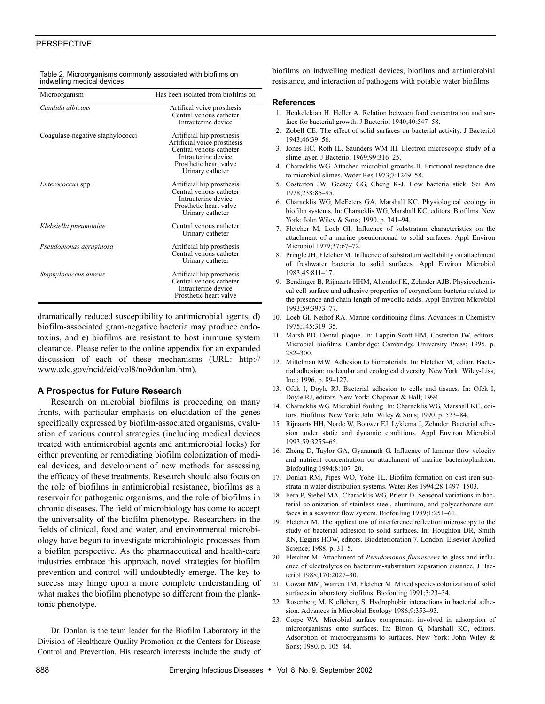| Table 2. Microorganisms commonly associated with biofilms on |
|--------------------------------------------------------------|
| indwelling medical devices                                   |

| Microorganism                    | Has been isolated from biofilms on                                                                                                                       |
|----------------------------------|----------------------------------------------------------------------------------------------------------------------------------------------------------|
| Candida albicans                 | Artifical voice prosthesis<br>Central venous catheter<br>Intrauterine device                                                                             |
| Coagulase-negative staphylococci | Artificial hip prosthesis<br>Artificial voice prosthesis<br>Central venous catheter<br>Intrauterine device<br>Prosthetic heart valve<br>Urinary catheter |
| <i>Enterococcus</i> spp.         | Artificial hip prosthesis<br>Central venous catheter<br>Intrauterine device<br>Prosthetic heart valve<br>Urinary catheter                                |
| Klebsiella pneumoniae            | Central venous catheter<br>Urinary catheter                                                                                                              |
| Pseudomonas aeruginosa           | Artificial hip prosthesis<br>Central venous catheter<br>Urinary catheter                                                                                 |
| Staphylococcus aureus            | Artificial hip prosthesis<br>Central venous catheter<br>Intrauterine device<br>Prosthetic heart valve                                                    |

dramatically reduced susceptibility to antimicrobial agents, d) biofilm-associated gram-negative bacteria may produce endotoxins, and e) biofilms are resistant to host immune system clearance. Please refer to the online appendix for an expanded discussion of each of these mechanisms (URL: http:// www.cdc.gov/ncid/eid/vol8/no9donlan.htm).

# **A Prospectus for Future Research**

Research on microbial biofilms is proceeding on many fronts, with particular emphasis on elucidation of the genes specifically expressed by biofilm-associated organisms, evaluation of various control strategies (including medical devices treated with antimicrobial agents and antimicrobial locks) for either preventing or remediating biofilm colonization of medical devices, and development of new methods for assessing the efficacy of these treatments. Research should also focus on the role of biofilms in antimicrobial resistance, biofilms as a reservoir for pathogenic organisms, and the role of biofilms in chronic diseases. The field of microbiology has come to accept the universality of the biofilm phenotype. Researchers in the fields of clinical, food and water, and environmental microbiology have begun to investigate microbiologic processes from a biofilm perspective. As the pharmaceutical and health-care industries embrace this approach, novel strategies for biofilm prevention and control will undoubtedly emerge. The key to success may hinge upon a more complete understanding of what makes the biofilm phenotype so different from the planktonic phenotype.

Dr. Donlan is the team leader for the Biofilm Laboratory in the Division of Healthcare Quality Promotion at the Centers for Disease Control and Prevention. His research interests include the study of

biofilms on indwelling medical devices, biofilms and antimicrobial resistance, and interaction of pathogens with potable water biofilms.

### **References**

- 1. Heukelekian H, Heller A. Relation between food concentration and surface for bacterial growth. J Bacteriol 1940;40:547–58.
- 2. Zobell CE. The effect of solid surfaces on bacterial activity. J Bacteriol 1943;46:39–56.
- 3. Jones HC, Roth IL, Saunders WM III. Electron microscopic study of a slime layer. J Bacteriol 1969;99:316–25.
- 4. Characklis WG. Attached microbial growths-II. Frictional resistance due to microbial slimes. Water Res 1973;7:1249–58.
- 5. Costerton JW, Geesey GG, Cheng K-J. How bacteria stick. Sci Am 1978;238:86–95.
- 6. Characklis WG, McFeters GA, Marshall KC. Physiological ecology in biofilm systems. In: Characklis WG, Marshall KC, editors. Biofilms. New York: John Wiley & Sons; 1990. p. 341–94.
- 7. Fletcher M, Loeb GI. Influence of substratum characteristics on the attachment of a marine pseudomonad to solid surfaces. Appl Environ Microbiol 1979;37:67–72.
- 8. Pringle JH, Fletcher M. Influence of substratum wettability on attachment of freshwater bacteria to solid surfaces. Appl Environ Microbiol 1983;45:811–17.
- 9. Bendinger B, Rijnaarts HHM, Altendorf K, Zehnder AJB. Physicochemical cell surface and adhesive properties of coryneform bacteria related to the presence and chain length of mycolic acids. Appl Environ Microbiol 1993;59:3973–77.
- 10. Loeb GI, Neihof RA. Marine conditioning films. Advances in Chemistry 1975;145:319–35.
- 11. Marsh PD. Dental plaque. In: Lappin-Scott HM, Costerton JW, editors. Microbial biofilms. Cambridge: Cambridge University Press; 1995. p. 282–300.
- 12. Mittelman MW. Adhesion to biomaterials. In: Fletcher M, editor. Bacterial adhesion: molecular and ecological diversity. New York: Wiley-Liss, Inc.; 1996. p. 89–127.
- 13. Ofek I, Doyle RJ. Bacterial adhesion to cells and tissues. In: Ofek I, Doyle RJ, editors. New York: Chapman & Hall; 1994.
- 14. Characklis WG. Microbial fouling. In: Characklis WG, Marshall KC, editors. Biofilms. New York: John Wiley & Sons; 1990. p. 523–84.
- 15. Rijnaarts HH, Norde W, Bouwer EJ, Lyklema J, Zehnder. Bacterial adhesion under static and dynamic conditions. Appl Environ Microbiol 1993;59:3255–65.
- 16. Zheng D, Taylor GA, Gyananath G. Influence of laminar flow velocity and nutrient concentration on attachment of marine bacterioplankton. Biofouling 1994;8:107–20.
- 17. Donlan RM, Pipes WO, Yohe TL. Biofilm formation on cast iron substrata in water distribution systems. Water Res 1994;28:1497–1503.
- 18. Fera P, Siebel MA, Characklis WG, Prieur D. Seasonal variations in bacterial colonization of stainless steel, aluminum, and polycarbonate surfaces in a seawater flow system. Biofouling 1989;1:251–61.
- 19. Fletcher M. The applications of interference reflection microscopy to the study of bacterial adhesion to solid surfaces. In: Houghton DR, Smith RN, Eggins HOW, editors. Biodeterioration 7. London: Elsevier Applied Science; 1988. p. 31–5.
- 20. Fletcher M. Attachment of *Pseudomonas fluorescens* to glass and influence of electrolytes on bacterium-substratum separation distance. J Bacteriol 1988;170:2027–30.
- 21. Cowan MM, Warren TM, Fletcher M. Mixed species colonization of solid surfaces in laboratory biofilms. Biofouling 1991;3:23–34.
- 22. Rosenberg M, Kjelleberg S. Hydrophobic interactions in bacterial adhesion. Advances in Microbial Ecology 1986;9:353–93.
- 23. Corpe WA. Microbial surface components involved in adsorption of microorganisms onto surfaces. In: Bitton G, Marshall KC, editors. Adsorption of microorganisms to surfaces. New York: John Wiley & Sons; 1980. p. 105–44.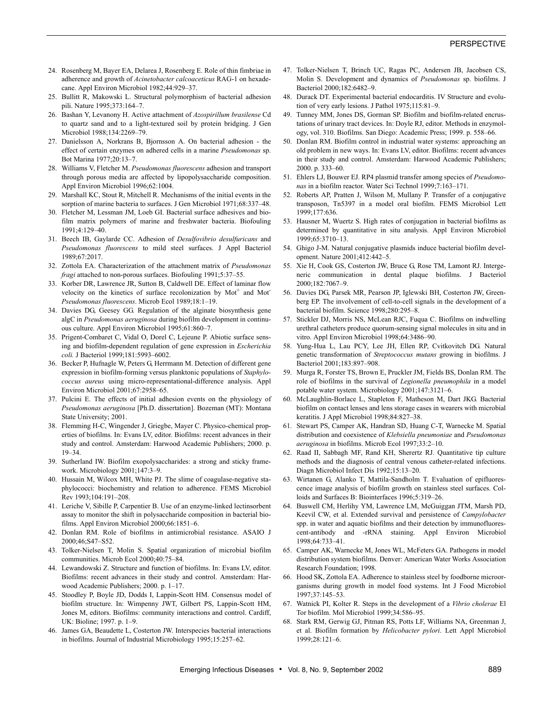- 24. Rosenberg M, Bayer EA, Delarea J, Rosenberg E. Role of thin fimbriae in adherence and growth of *Acinetobacter calcoaceticus* RAG-1 on hexadecane. Appl Environ Microbiol 1982;44:929–37.
- 25. Bullitt R, Makowski L. Structural polymorphism of bacterial adhesion pili. Nature 1995;373:164–7.
- 26. Bashan Y, Levanony H. Active attachment of *Azospirillum brasilense* Cd to quartz sand and to a light-textured soil by protein bridging. J Gen Microbiol 1988;134:2269–79.
- 27. Danielsson A, Norkrans B, Bjornsson A. On bacterial adhesion the effect of certain enzymes on adhered cells in a marine *Pseudomonas* sp. Bot Marina 1977;20:13–7.
- 28. Williams V, Fletcher M. *Pseudomonas fluorescens* adhesion and transport through porous media are affected by lipopolysaccharide composition. Appl Environ Microbiol 1996;62:1004.
- 29. Marshall KC, Stout R, Mitchell R. Mechanisms of the initial events in the sorption of marine bacteria to surfaces. J Gen Microbiol 1971;68:337–48.
- 30. Fletcher M, Lessman JM, Loeb GI. Bacterial surface adhesives and biofilm matrix polymers of marine and freshwater bacteria. Biofouling 1991;4:129–40.
- 31. Beech IB, Gaylarde CC. Adhesion of *Desulfovibrio desulfuricans* and *Pseudomonas fluorescens* to mild steel surfaces. J Appl Bacteriol 1989;67:2017.
- 32. Zottola EA. Characterization of the attachment matrix of *Pseudomonas fragi* attached to non-porous surfaces. Biofouling 1991;5:37–55.
- 33. Korber DR, Lawrence JR, Sutton B, Caldwell DE. Effect of laminar flow velocity on the kinetics of surface recolonization by  $Mot<sup>+</sup>$  and Mot *Pseudomonas fluorescens*. Microb Ecol 1989;18:1–19.
- 34. Davies DG, Geesey GG. Regulation of the alginate biosynthesis gene algC in *Pseudomonas aeruginosa* during biofilm development in continuous culture. Appl Environ Microbiol 1995;61:860–7.
- 35. Prigent-Combaret C, Vidal O, Dorel C, Lejeune P. Abiotic surface sensing and biofilm-dependent regulation of gene expression in *Escherichia coli.* J Bacteriol 1999;181:5993–6002.
- 36. Becker P, Hufnagle W, Peters G, Herrmann M. Detection of different gene expression in biofilm-forming versus planktonic populations of *Staphylococcus aureus* using micro-representational-difference analysis. Appl Environ Microbiol 2001;67:2958–65.
- 37. Pulcini E. The effects of initial adhesion events on the physiology of *Pseudomonas aeruginosa* [Ph.D. dissertation]. Bozeman (MT): Montana State University; 2001.
- 38. Flemming H-C, Wingender J, Griegbe, Mayer C. Physico-chemical properties of biofilms. In: Evans LV, editor. Biofilms: recent advances in their study and control. Amsterdam: Harwood Academic Publishers; 2000. p. 19–34.
- 39. Sutherland IW. Biofilm exopolysaccharides: a strong and sticky framework. Microbiology 2001;147:3–9.
- 40. Hussain M, Wilcox MH, White PJ. The slime of coagulase-negative staphylococci: biochemistry and relation to adherence. FEMS Microbiol Rev 1993;104:191–208.
- 41. Leriche V, Sibille P, Carpentier B. Use of an enzyme-linked lectinsorbent assay to monitor the shift in polysaccharide composition in bacterial biofilms. Appl Environ Microbiol 2000;66:1851–6.
- 42. Donlan RM. Role of biofilms in antimicrobial resistance. ASAIO J 2000;46;S47–S52.
- 43. Tolker-Nielsen T, Molin S. Spatial organization of microbial biofilm communities. Microb Ecol 2000;40:75–84.
- 44. Lewandowski Z. Structure and function of biofilms. In: Evans LV, editor. Biofilms: recent advances in their study and control. Amsterdam: Harwood Academic Publishers; 2000. p. 1–17.
- 45. Stoodley P, Boyle JD, Dodds I, Lappin-Scott HM. Consensus model of biofilm structure. In: Wimpenny JWT, Gilbert PS, Lappin-Scott HM, Jones M, editors. Biofilms: community interactions and control. Cardiff, UK: Bioline; 1997. p. 1–9.
- 46. James GA, Beaudette L, Costerton JW. Interspecies bacterial interactions in biofilms. Journal of Industrial Microbiology 1995;15:257–62.
- 47. Tolker-Nielsen T, Brinch UC, Ragas PC, Andersen JB, Jacobsen CS, Molin S. Development and dynamics of *Pseudomonas* sp. biofilms. J Bacteriol 2000;182:6482–9.
- 48. Durack DT. Experimental bacterial endocarditis. IV Structure and evolution of very early lesions. J Pathol 1975;115:81–9.
- 49. Tunney MM, Jones DS, Gorman SP. Biofilm and biofilm-related encrustations of urinary tract devices. In: Doyle RJ, editor. Methods in enzymology, vol. 310. Biofilms. San Diego: Academic Press; 1999. p. 558–66.
- 50. Donlan RM. Biofilm control in industrial water systems: approaching an old problem in new ways. In: Evans LV, editor. Biofilms: recent advances in their study and control. Amsterdam: Harwood Academic Publishers; 2000. p. 333–60.
- 51. Ehlers LJ, Bouwer EJ. RP4 plasmid transfer among species of *Pseudomonas* in a biofilm reactor. Water Sci Technol 1999;7:163–171.
- 52. Roberts AP, Pratten J, Wilson M, Mullany P. Transfer of a conjugative transposon, Tn5397 in a model oral biofilm. FEMS Microbiol Lett 1999;177:636.
- 53. Hausner M, Wuertz S. High rates of conjugation in bacterial biofilms as determined by quantitative in situ analysis. Appl Environ Microbiol 1999;65:3710–13.
- 54. Ghigo J-M. Natural conjugative plasmids induce bacterial biofilm development. Nature 2001;412:442–5.
- 55. Xie H, Cook GS, Costerton JW, Bruce G, Rose TM, Lamont RJ. Intergeneric communication in dental plaque biofilms. J Bacteriol 2000;182:7067–9.
- 56. Davies DG, Parsek MR, Pearson JP, Iglewski BH, Costerton JW, Greenberg EP. The involvement of cell-to-cell signals in the development of a bacterial biofilm. Science 1998;280:295–8.
- 57. Stickler DJ, Morris NS, McLean RJC, Fuqua C. Biofilms on indwelling urethral catheters produce quorum-sensing signal molecules in situ and in vitro. Appl Environ Microbiol 1998;64:3486–90.
- 58. Yung-Hua L, Lau PCY, Lee JH, Ellen RP, Cvitkovitch DG. Natural genetic transformation of *Streptococcus mutans* growing in biofilms. J Bacteriol 2001;183:897–908.
- 59. Murga R, Forster TS, Brown E, Pruckler JM, Fields BS, Donlan RM. The role of biofilms in the survival of *Legionella pneumophila* in a model potable water system. Microbiology 2001;147:3121–6.
- 60. McLaughlin-Borlace L, Stapleton F, Matheson M, Dart JKG. Bacterial biofilm on contact lenses and lens storage cases in wearers with microbial keratitis. J Appl Microbiol 1998;84:827–38.
- 61. Stewart PS, Camper AK, Handran SD, Huang C-T, Warnecke M. Spatial distribution and coexistence of *Klebsiella pneumoniae* and *Pseudomonas aeruginosa* in biofilms. Microb Ecol 1997;33:2–10.
- 62. Raad II, Sabbagh MF, Rand KH, Sherertz RJ. Quantitative tip culture methods and the diagnosis of central venous catheter-related infections. Diagn Microbiol Infect Dis 1992;15:13–20.
- 63. Wirtanen G, Alanko T, Mattila-Sandholm T. Evaluation of epifluorescence image analysis of biofilm growth on stainless steel surfaces. Colloids and Surfaces B: Biointerfaces 1996;5:319–26.
- 64. Buswell CM, Herlihy YM, Lawrence LM, McGuiggan JTM, Marsh PD, Keevil CW, et al. Extended survival and persistence of *Campylobacter* spp. in water and aquatic biofilms and their detection by immunofluorescent-antibody and -rRNA staining. Appl Environ Microbiol 1998;64:733–41.
- 65. Camper AK, Warnecke M, Jones WL, McFeters GA. Pathogens in model distribution system biofilms. Denver: American Water Works Association Research Foundation; 1998.
- 66. Hood SK, Zottola EA. Adherence to stainless steel by foodborne microorganisms during growth in model food systems. Int J Food Microbiol 1997;37:145–53.
- 67. Watnick PI, Kolter R. Steps in the development of a *Vibrio cholerae* El Tor biofilm. Mol Microbiol 1999;34:586–95.
- 68. Stark RM, Gerwig GJ, Pitman RS, Potts LF, Williams NA, Greenman J, et al. Biofilm formation by *Helicobacter pylori*. Lett Appl Microbiol 1999;28:121–6.